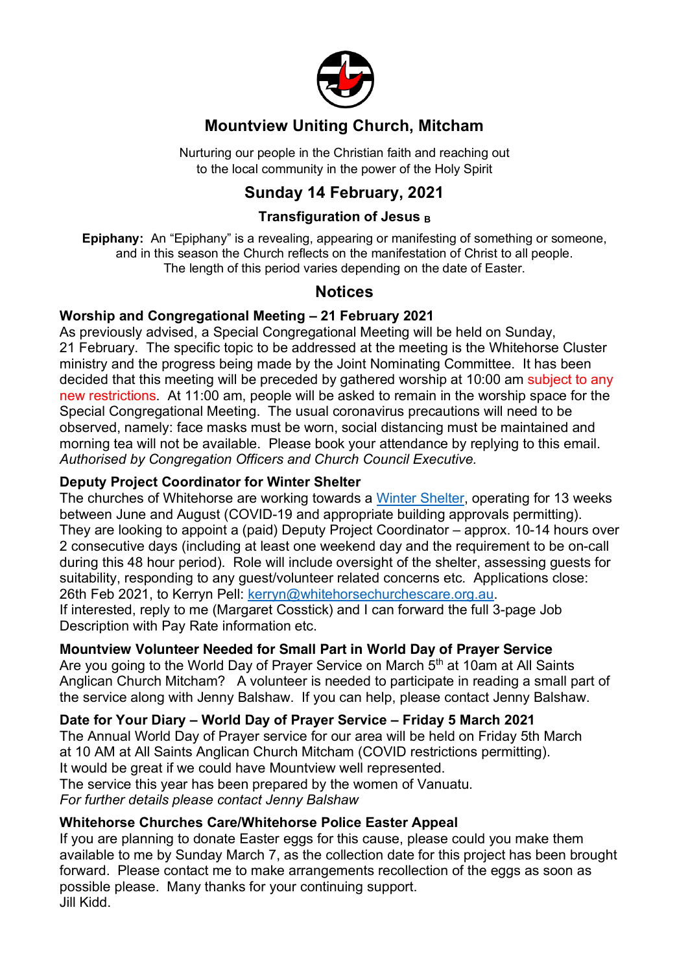

## **Mountview Uniting Church, Mitcham**

Nurturing our people in the Christian faith and reaching out to the local community in the power of the Holy Spirit

## **Sunday 14 February, 2021**

#### **Transfiguration of Jesus <sup>B</sup>**

**Epiphany:** An "Epiphany" is a revealing, appearing or manifesting of something or someone, and in this season the Church reflects on the manifestation of Christ to all people. The length of this period varies depending on the date of Easter.

### **Notices**

#### **Worship and Congregational Meeting – 21 February 2021**

As previously advised, a Special Congregational Meeting will be held on Sunday, 21 February. The specific topic to be addressed at the meeting is the Whitehorse Cluster ministry and the progress being made by the Joint Nominating Committee. It has been decided that this meeting will be preceded by gathered worship at 10:00 am subject to any new restrictions. At 11:00 am, people will be asked to remain in the worship space for the Special Congregational Meeting. The usual coronavirus precautions will need to be observed, namely: face masks must be worn, social distancing must be maintained and morning tea will not be available. Please book your attendance by replying to this email. *Authorised by Congregation Officers and Church Council Executive.*

#### **Deputy Project Coordinator for Winter Shelter**

The churches of Whitehorse are working towards a Winter Shelter, operating for 13 weeks between June and August (COVID-19 and appropriate building approvals permitting). They are looking to appoint a (paid) Deputy Project Coordinator – approx. 10-14 hours over 2 consecutive days (including at least one weekend day and the requirement to be on-call during this 48 hour period). Role will include oversight of the shelter, assessing guests for suitability, responding to any guest/volunteer related concerns etc. Applications close: 26th Feb 2021, to Kerryn Pell: kerryn@whitehorsechurchescare.org.au. If interested, reply to me (Margaret Cosstick) and I can forward the full 3-page Job Description with Pay Rate information etc.

#### **Mountview Volunteer Needed for Small Part in World Day of Prayer Service**

Are you going to the World Day of Prayer Service on March 5<sup>th</sup> at 10am at All Saints Anglican Church Mitcham? A volunteer is needed to participate in reading a small part of the service along with Jenny Balshaw. If you can help, please contact Jenny Balshaw.

**Date for Your Diary – World Day of Prayer Service – Friday 5 March 2021** The Annual World Day of Prayer service for our area will be held on Friday 5th March at 10 AM at All Saints Anglican Church Mitcham (COVID restrictions permitting). It would be great if we could have Mountview well represented. The service this year has been prepared by the women of Vanuatu. *For further details please contact Jenny Balshaw* 

#### **Whitehorse Churches Care/Whitehorse Police Easter Appeal**

If you are planning to donate Easter eggs for this cause, please could you make them available to me by Sunday March 7, as the collection date for this project has been brought forward. Please contact me to make arrangements recollection of the eggs as soon as possible please. Many thanks for your continuing support. Jill Kidd.